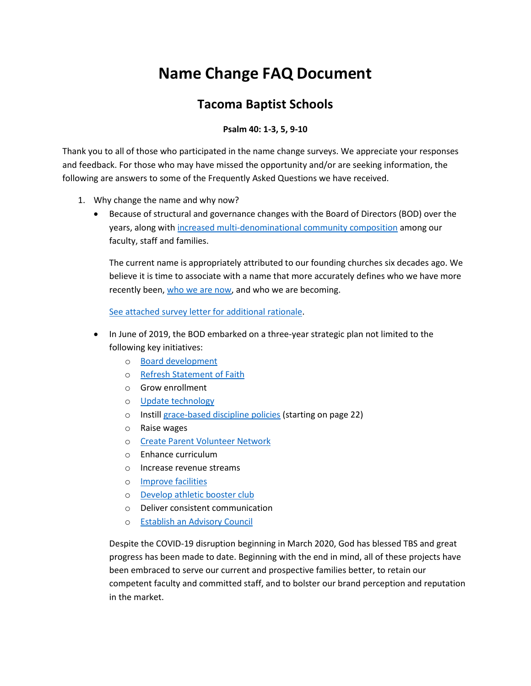# **Name Change FAQ Document**

## **Tacoma Baptist Schools**

#### **Psalm 40: 1-3, 5, 9-10**

Thank you to all of those who participated in the name change surveys. We appreciate your responses and feedback. For those who may have missed the opportunity and/or are seeking information, the following are answers to some of the Frequently Asked Questions we have received.

- 1. Why change the name and why now?
	- Because of structural and governance changes with the Board of Directors (BOD) over the years, along wit[h increased multi-denominational community composition](https://storage.snappages.site/F8GRNJ/assets/files/School-Church-Affiliation-Chart.pdf) among our faculty, staff and families.

The current name is appropriately attributed to our founding churches six decades ago. We believe it is time to associate with a name that more accurately defines who we have more recently been[, who we are now,](http://tacomabaptist.org/statement-of-faith) and who we are becoming.

[See attached survey letter for additional rationale.](https://storage.snappages.site/F8GRNJ/assets/files/Community-name-change-survey-rationale-72.pdf)

- In June of 2019, the BOD embarked on a three-year strategic plan not limited to the following key initiatives:
	- o [Board development](http://tacomabaptist.org/school-board)
	- o [Refresh Statement of Faith](http://tacomabaptist.org/statement-of-faith)
	- o Grow enrollment
	- o [Update technology](https://storage.snappages.site/F8GRNJ/assets/files/Technology-Improvements.pdf)
	- o Instil[l grace-based discipline policies](https://storage.snappages.site/F8GRNJ/assets/files/Parent-Student-All-School-Handbook-2020--46.pdf) (starting on page 22)
	- o Raise wages
	- o [Create Parent Volunteer Network](https://www.southsoundchristian.org/pvn)
	- o Enhance curriculum
	- o Increase revenue streams
	- o [Improve facilities](https://storage.snappages.site/F8GRNJ/assets/files/List-from-2020-Improvements.pdf)
	- o [Develop athletic booster club](http://tacomabaptist.org/boosters)
	- o Deliver consistent communication
	- o [Establish an Advisory Council](https://www.southsoundchristian.org/school-board)

Despite the COVID-19 disruption beginning in March 2020, God has blessed TBS and great progress has been made to date. Beginning with the end in mind, all of these projects have been embraced to serve our current and prospective families better, to retain our competent faculty and committed staff, and to bolster our brand perception and reputation in the market.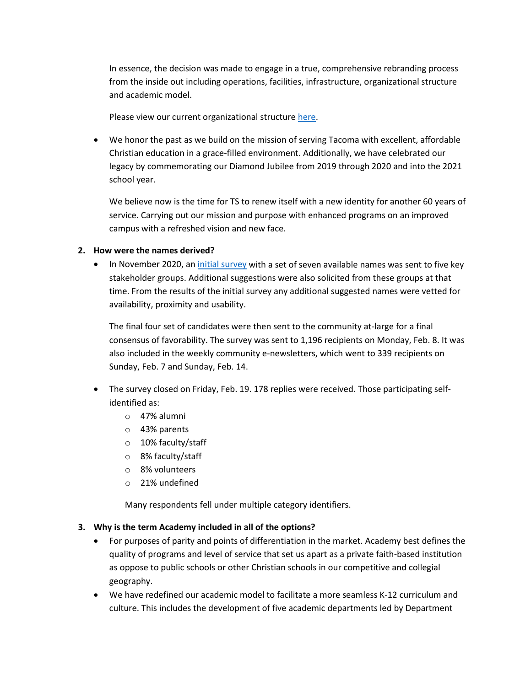In essence, the decision was made to engage in a true, comprehensive rebranding process from the inside out including operations, facilities, infrastructure, organizational structure and academic model.

Please view our current organizational structur[e here.](https://storage.snappages.site/F8GRNJ/assets/files/TBS-Organizational-Chart_March2021.pdf)

• We honor the past as we build on the mission of serving Tacoma with excellent, affordable Christian education in a grace-filled environment. Additionally, we have celebrated our legacy by commemorating our Diamond Jubilee from 2019 through 2020 and into the 2021 school year.

We believe now is the time for TS to renew itself with a new identity for another 60 years of service. Carrying out our mission and purpose with enhanced programs on an improved campus with a refreshed vision and new face.

#### **2. How were the names derived?**

• In November 2020, an [initial survey](https://storage.snappages.site/F8GRNJ/assets/files/Whats-in-a-name.pdf) with a set of seven available names was sent to five key stakeholder groups. Additional suggestions were also solicited from these groups at that time. From the results of the initial survey any additional suggested names were vetted for availability, proximity and usability.

The final four set of candidates were then sent to the community at-large for a final consensus of favorability. The survey was sent to 1,196 recipients on Monday, Feb. 8. It was also included in the weekly community e-newsletters, which went to 339 recipients on Sunday, Feb. 7 and Sunday, Feb. 14.

- The survey closed on Friday, Feb. 19. 178 replies were received. Those participating selfidentified as:
	- o 47% alumni
	- o 43% parents
	- o 10% faculty/staff
	- o 8% faculty/staff
	- o 8% volunteers
	- o 21% undefined

Many respondents fell under multiple category identifiers.

#### **3. Why is the term Academy included in all of the options?**

- For purposes of parity and points of differentiation in the market. Academy best defines the quality of programs and level of service that set us apart as a private faith-based institution as oppose to public schools or other Christian schools in our competitive and collegial geography.
- We have redefined our academic model to facilitate a more seamless K-12 curriculum and culture. This includes the development of five academic departments led by Department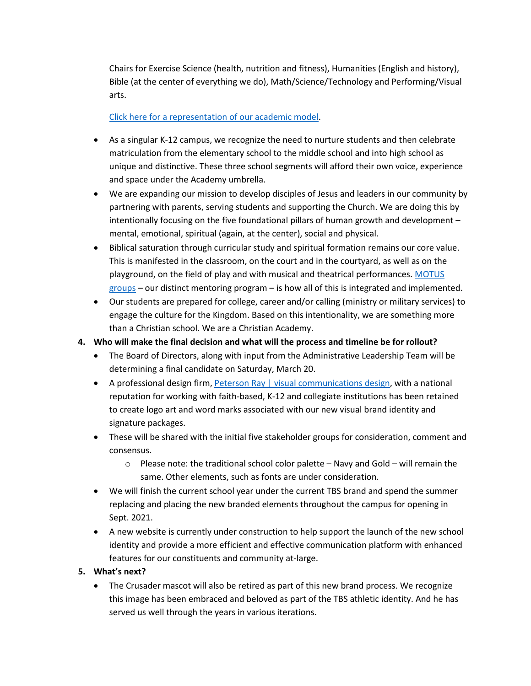Chairs for Exercise Science (health, nutrition and fitness), Humanities (English and history), Bible (at the center of everything we do), Math/Science/Technology and Performing/Visual arts.

#### [Click here for a representation of our academic model.](https://storage.snappages.site/F8GRNJ/assets/files/School-Structure-2.png)

- As a singular K-12 campus, we recognize the need to nurture students and then celebrate matriculation from the elementary school to the middle school and into high school as unique and distinctive. These three school segments will afford their own voice, experience and space under the Academy umbrella.
- We are expanding our mission to develop disciples of Jesus and leaders in our community by partnering with parents, serving students and supporting the Church. We are doing this by intentionally focusing on the five foundational pillars of human growth and development – mental, emotional, spiritual (again, at the center), social and physical.
- Biblical saturation through curricular study and spiritual formation remains our core value. This is manifested in the classroom, on the court and in the courtyard, as well as on the playground, on the field of play and with musical and theatrical performances. [MOTUS](https://storage.snappages.site/F8GRNJ/assets/files/MOTUS.pdf)  [groups](https://storage.snappages.site/F8GRNJ/assets/files/MOTUS.pdf) – our distinct mentoring program – is how all of this is integrated and implemented.
- Our students are prepared for college, career and/or calling (ministry or military services) to engage the culture for the Kingdom. Based on this intentionality, we are something more than a Christian school. We are a Christian Academy.
- **4. Who will make the final decision and what will the process and timeline be for rollout?**
	- The Board of Directors, along with input from the Administrative Leadership Team will be determining a final candidate on Saturday, March 20.
	- A professional design firm[, Peterson Ray | visual communications design,](https://peterson.com/) with a national reputation for working with faith-based, K-12 and collegiate institutions has been retained to create logo art and word marks associated with our new visual brand identity and signature packages.
	- These will be shared with the initial five stakeholder groups for consideration, comment and consensus.
		- $\circ$  Please note: the traditional school color palette Navy and Gold will remain the same. Other elements, such as fonts are under consideration.
	- We will finish the current school year under the current TBS brand and spend the summer replacing and placing the new branded elements throughout the campus for opening in Sept. 2021.
	- A new website is currently under construction to help support the launch of the new school identity and provide a more efficient and effective communication platform with enhanced features for our constituents and community at-large.
- **5. What's next?**
	- The Crusader mascot will also be retired as part of this new brand process. We recognize this image has been embraced and beloved as part of the TBS athletic identity. And he has served us well through the years in various iterations.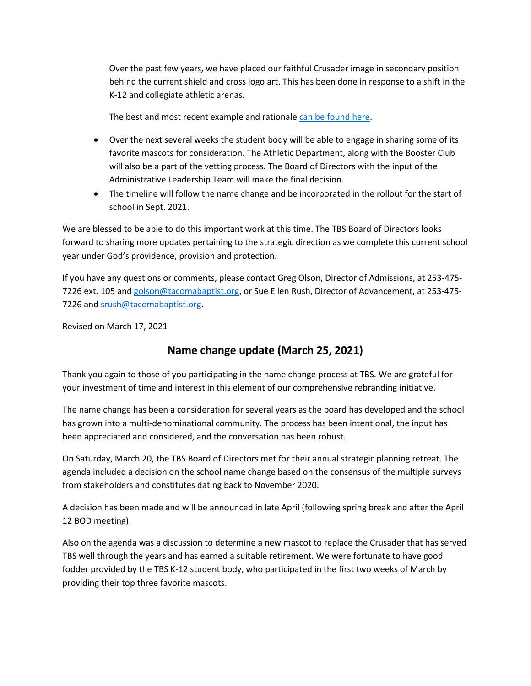Over the past few years, we have placed our faithful Crusader image in secondary position behind the current shield and cross logo art. This has been done in response to a shift in the K-12 and collegiate athletic arenas.

The best and most recent example and rationale [can be found here.](https://www.espn.com/mens-college-basketball/story/_/id/30882084/valparaiso-dropping-crusaders-name-mascot-logos)

- Over the next several weeks the student body will be able to engage in sharing some of its favorite mascots for consideration. The Athletic Department, along with the Booster Club will also be a part of the vetting process. The Board of Directors with the input of the Administrative Leadership Team will make the final decision.
- The timeline will follow the name change and be incorporated in the rollout for the start of school in Sept. 2021.

We are blessed to be able to do this important work at this time. The TBS Board of Directors looks forward to sharing more updates pertaining to the strategic direction as we complete this current school year under God's providence, provision and protection.

If you have any questions or comments, please contact Greg Olson, Director of Admissions, at 253-475- 7226 ext. 105 an[d golson@tacomabaptist.org,](mailto:golson@tacomabaptist.org) or Sue Ellen Rush, Director of Advancement, at 253-475 7226 and [srush@tacomabaptist.org.](mailto:srush@tacomabaptist.org)

Revised on March 17, 2021

## **Name change update (March 25, 2021)**

Thank you again to those of you participating in the name change process at TBS. We are grateful for your investment of time and interest in this element of our comprehensive rebranding initiative.

The name change has been a consideration for several years as the board has developed and the school has grown into a multi-denominational community. The process has been intentional, the input has been appreciated and considered, and the conversation has been robust.

On Saturday, March 20, the TBS Board of Directors met for their annual strategic planning retreat. The agenda included a decision on the school name change based on the consensus of the multiple surveys from stakeholders and constitutes dating back to November 2020.

A decision has been made and will be announced in late April (following spring break and after the April 12 BOD meeting).

Also on the agenda was a discussion to determine a new mascot to replace the Crusader that has served TBS well through the years and has earned a suitable retirement. We were fortunate to have good fodder provided by the TBS K-12 student body, who participated in the first two weeks of March by providing their top three favorite mascots.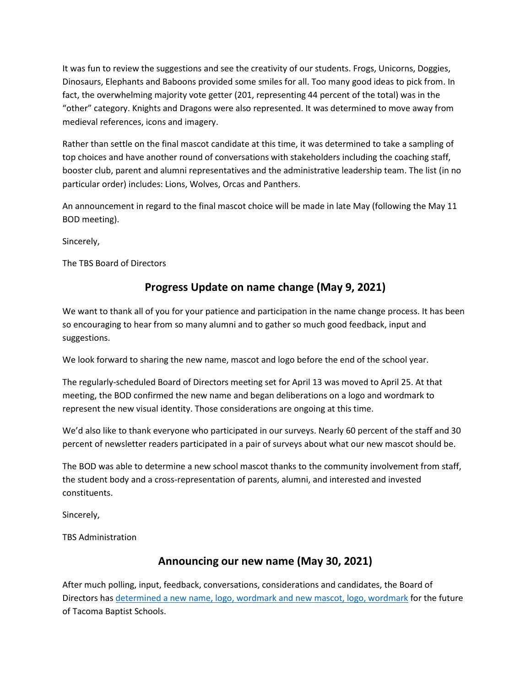It was fun to review the suggestions and see the creativity of our students. Frogs, Unicorns, Doggies, Dinosaurs, Elephants and Baboons provided some smiles for all. Too many good ideas to pick from. In fact, the overwhelming majority vote getter (201, representing 44 percent of the total) was in the "other" category. Knights and Dragons were also represented. It was determined to move away from medieval references, icons and imagery.

Rather than settle on the final mascot candidate at this time, it was determined to take a sampling of top choices and have another round of conversations with stakeholders including the coaching staff, booster club, parent and alumni representatives and the administrative leadership team. The list (in no particular order) includes: Lions, Wolves, Orcas and Panthers.

An announcement in regard to the final mascot choice will be made in late May (following the May 11 BOD meeting).

Sincerely,

The TBS Board of Directors

## **Progress Update on name change (May 9, 2021)**

We want to thank all of you for your patience and participation in the name change process. It has been so encouraging to hear from so many alumni and to gather so much good feedback, input and suggestions.

We look forward to sharing the new name, mascot and logo before the end of the school year.

The regularly-scheduled Board of Directors meeting set for April 13 was moved to April 25. At that meeting, the BOD confirmed the new name and began deliberations on a logo and wordmark to represent the new visual identity. Those considerations are ongoing at this time.

We'd also like to thank everyone who participated in our surveys. Nearly 60 percent of the staff and 30 percent of newsletter readers participated in a pair of surveys about what our new mascot should be.

The BOD was able to determine a new school mascot thanks to the community involvement from staff, the student body and a cross-representation of parents, alumni, and interested and invested constituents.

Sincerely,

TBS Administration

## **Announcing our new name (May 30, 2021)**

After much polling, input, feedback, conversations, considerations and candidates, the Board of Directors has [determined a new name, logo, wordmark and new mascot, logo, wordmark](http://tacomabaptist.org/FAQ) for the future of Tacoma Baptist Schools.